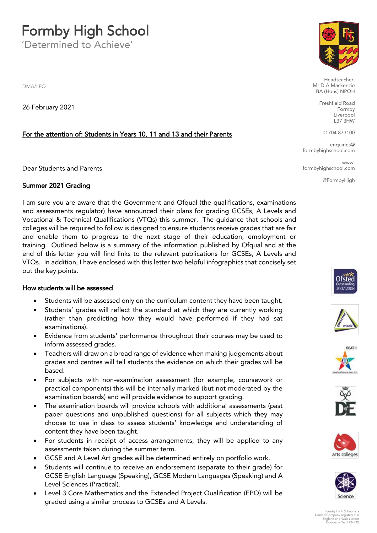#### **Formby High School**<br>Determined to Achieve'

'Determined to Achieve'

DMA/LEO

26 February 2021

#### For the attention of: Students in Years 10, 11 and 13 and their Parents

Dear Students and Parents

#### Summer 2021 Grading

I am sure you are aware that the Government and Ofqual (the qualifications, examinations and assessments regulator) have announced their plans for grading GCSEs, A Levels and Vocational & Technical Qualifications (VTQs) this summer. The quidance that schools and colleges will be required to follow is designed to ensure students receive grades that are fair and enable them to progress to the next stage of their education, employment or training. Outlined below is a summary of the information published by Ofqual and at the end of this letter you will find links to the relevant publications for GCSEs. A Levels and VTQ<sub>s</sub>. In addition, I have enclosed with this letter two helpful infographics that concisely set VTQs. In addition, I have enclosed with this letter two helpful infographics that concisely set out the key points.

#### How students will be assessed

- Students will be assessed only on the curriculum content they have been taught.<br>• Students' grades will reflect the standard at which they are currently working
- Students' grades will reflect the standard at which they are currently working (rather than predicting how they would have performed if they had sat
- Evidence from students' performance throughout their courses may be used to inform assossed grades.
- Teachers will draw on a broad range of evidence when making judgements about<br>crades and contros will tell students the ovidence on which their grades will be grades and centres will tell students the evidence on which their grades will be
- For subjects with non-examination assessment (for example, coursework or<br>practical components) this will be internally marked (but not moderated by the practical components) this will be internally marked (but not moderated by the examination boards) and will provide evidence to support grading.
- The examination boards will provide schools with additional assessments (past<br>nanor questions and unpublished questions) for all subjects which they may paper questions and unpublished questions, for all subjects much they may  $\frac{1}{2}$  contant they have been taught
- For students in receipt of access arrangements, they will be applied to any<br>assossments taken during the summer term
- GCSE and A Level Art grades will be determined entirely on portfolio work.
- Students will continue to receive an endorsement (separate to their grade) for GCSE English Language (Speaking), GCSE Modern Languages (Speaking) and A Level Sciences (Practical).
- Level 3 Core Mathematics and the Extended Project Qualification (EPQ) will be<br>craded using a similar process to GCSEs and A Lovels graded using a similar process to GCSEs and A Levels.



Headteacher:<br>Mr D A Mackenzie BA (Hons) NPQH

> Freshfield Road Formby Liverpool  $L37$  $3HW$

01704 873100

en<br>School com formbyhighschool.com

**WWW** ww.<br>I com formbyhighschool.com

@FormbyHigh













Formby High School is a Limited Company registered in England and Wales under Company No. 7724342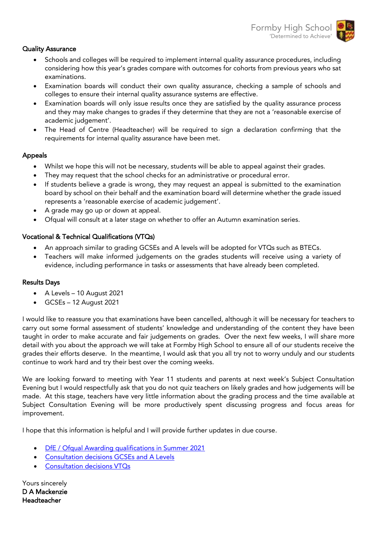- $\overline{\phantom{a}}$ • Schools and colleges will be required to implement internal quality assurance procedures, including<br>considering how this vear's grades compare with outcomes for cohorts from provious vears who sat considering how this year's grades compare with outcomes for cohorts from previous years who sat
	- Examination boards will conduct their own quality assurance, checking a sample of schools and<br>colloges to ensure their internal quality assurance systems are effective
	- Examination boards will only issue results once they are satisfied by the quality assurance process and they may make changes to grades if they determine that they are not a 'reasonable exercise of academic judgement'.
	- The Head of Centre (Headteacher) will be required to sign a declaration confirming that the<br>requirements for internal quality assurance have been met requirements for internal quality assurance have been met.

#### Appeals

- Whilst we hope this will not be necessary, students will be able to appeal against their grades.
- They may request that the school checks for an administrative or procedural error.
- If students believe a grade is wrong, they may request an appeal is submitted to the examination<br>board by school on their behalf and the examination board will determine whether the grade issued represents a 'reasonable exercise of academic judgement'.
- A grade may go up or down at appeal.<br>• Of well will cancult at a later atom an up to their and for an
- Ofqual will consult at a later stage on whether to offer an Autumn examination series.

- Vocational & Technical Qualifications (VTQs) • An approach similar to grading GCSEs and A levels will be adopted for VTQs such as BTECs.
	- Teachers will make informed judgements on the grades students will receive using a variety of evidence, including performance in tasks or assessments that have already been completed.

#### $R = \frac{1}{2}$

- A Levels 10 August 2021
- GCSEs 12 August 2021

I would like to reassure you that examinations have been cancelled, although it will be necessary for teachers to<br>carry out some formal assessment of students' knowledge and understanding of the content they have been taught in order to make accurate and fair judgements on grades. Over the next few weeks, I will share more detail with you about the approach we will take at Formby High School to ensure all of our students receive the grades their efforts deserve. In the meantime, I would ask that you all try not to worry unduly and our students  $\epsilon$  entinue to work hard and try their best ever the semina weeks continue to work hard and try the community were the community were the community were the community of the community of the community of the community of the community of the community of the community of the community of

We are looking forward to meeting with Year 11 students and parents at next week's Subject Consultation<br>Evening but I would respectfully ask that you do not quiz teachers on likely grades and how judgements will be made. At this stage, teachers have very little information about the grading process and the time available at Subject Consultation Evening will be more productively spent discussion apoprose and focus areas for  $S$  in  $\mathbb{R}^n$  are more productively spent discussion  $\mathbb{R}^n$  spent discussion  $\mathbb{R}^n$  are as follows: improvement.

I hope that this information is helpful and I will provide further updates in due course.

- [DfE / Ofqual Awarding qualifications in Sum](https://assets.publishing.service.gov.uk/government/uploads/system/uploads/attachment_data/file/965005/6747-1_decisions_-_GQ_consultation_on_awarding_grades_in_2021.pdf)[mer 2021](https://www.gov.uk/government/publications/awarding-qualifications-in-summer-2021/awarding-qualifications-in-summer-2021)
- [Consultation decisions GCSE](https://assets.publishing.service.gov.uk/government/uploads/system/uploads/attachment_data/file/964973/6748-1_-_Decisions_-_VTQ_Consultation_on_awarding_grades_in_2021.pdf)s and A Levels
- Consultation decisions VTQs

Yours sincerely D A Mackenzie Headteacher Headteacher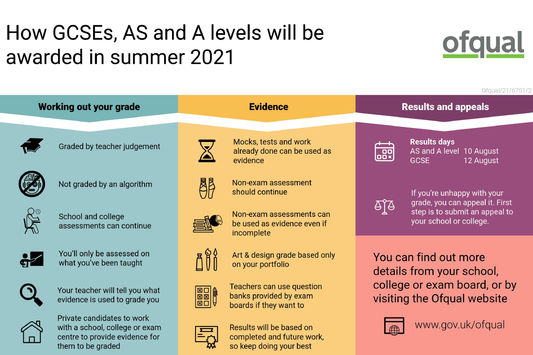# How GCSEs, AS and A levels will be awarded in summer 2021

## **Working out your grade**



Graded by teacher judgement



Not graded by an algorithm



School and college assessments can continue



You'll only be assessed on what you've been taught



Your teacher will tell you what evidence is used to grade you



Private candidates to work with a school, college or exam centre to provide evidence for them to be graded















## **Evidence**

**Results and appeals** 

Mocks, tests and work already done can be used as evidence

Non-exam assessment should continue

Non-exam assessments can be used as evidence even if incomplete

Art & design grade based only on your portfolio

Teachers can use question banks provided by exam boards if they want to

Results will be based on completed and future work, so keep doing your best



**Results days GCSE** 



If you're unhappy with your grade, you can appeal it. First step is to submit an appeal to your school or college.

You can find out more details from your school, visiting the Ofqual website



www.gov.uk/ofqual

#### Ofqual/21/6751/2

## AS and A level 10 August 12 August

# college or exam board, or by